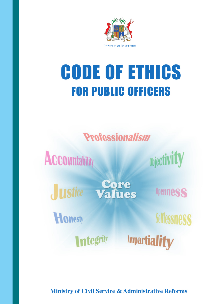

# CODE OF ETHICS FOR PUBLIC OFFICERS

**Professionalism** 

**ACCOuntability** 

**Objectivity** 

**Instice** 

**Core<br>Values** 

Honesty

**Integrity** 

**Openness** 

**Selflessness** 

**Impartiality** 

**Ministry of Civil Service & Administrative Reforms**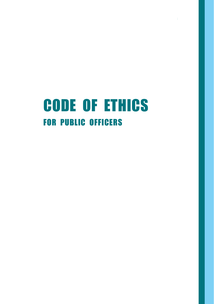## Code of Ethics for Public Officers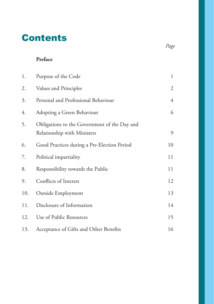## **Contents**

#### **Preface**

| 1.  | Purpose of the Code                                                         | 1  |
|-----|-----------------------------------------------------------------------------|----|
| 2.  | Values and Principles                                                       | 2  |
| 3.  | Personal and Professional Behaviour                                         | 4  |
| 4.  | Adopting a Green Behaviour                                                  | 6  |
| 5.  | Obligations to the Government of the Day and<br>Relationship with Ministers | 9  |
| 6.  | Good Practices during a Pre-Election Period                                 | 10 |
| 7.  | Political impartiality                                                      | 11 |
| 8.  | Responsibility towards the Public                                           | 11 |
| 9.  | Conflicts of Interest                                                       | 12 |
| 10. | Outside Employment                                                          | 13 |
| 11. | Disclosure of Information                                                   | 14 |
| 12. | Use of Public Resources                                                     | 15 |
| 13. | Acceptance of Gifts and Other Benefits                                      | 16 |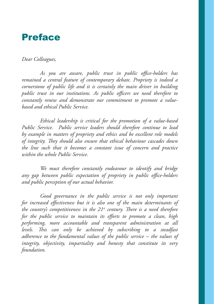### Preface

#### *Dear Colleagues,*

*As you are aware, public trust in public office-holders has remained a central feature of contemporary debate. Propriety is indeed a cornerstone of public life and it is certainly the main driver in building public trust in our institutions. As public officers we need therefore to constantly renew and demonstrate our commitment to promote a valuebased and ethical Public Service.*

*Ethical leadership is critical for the promotion of a value-based Public Service. Public service leaders should therefore continue to lead by example in matters of propriety and ethics and be excellent role models of integrity. They should also ensure that ethical behaviour cascades down the line such that it becomes a constant issue of concern and practice within the whole Public Service.*

*We must therefore constantly endeavour to identify and bridge any gap between public expectation of propriety in public office-holders and public perception of our actual behavior.* 

*Good governance in the public service is not only important for increased effectiveness but it is also one of the main determinants of*  the country's competitiveness in the 21<sup>st</sup> century. There is a need therefore *for the public service to maintain its efforts to promote a clean, high performing, more accountable and transparent administration at all levels. This can only be achieved by subscribing to a steadfast adherence to the fundamental values of the public service – the values of integrity, objectivity, impartiality and honesty that constitute its very foundation.*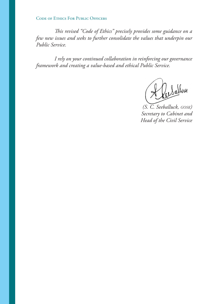Code of Ethics For Public Officers

*This revised "Code of Ethics" precisely provides some guidance on a few new issues and seeks to further consolidate the values that underpin our Public Service.*

*I rely on your continued collaboration in reinforcing our governance framework and creating a value-based and ethical Public Service.*

Lallnu

*(S. C. Seeballuck, gosk) Secretary to Cabinet and Head of the Civil Service*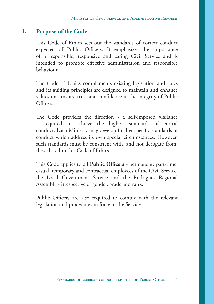#### **1. Purpose of the Code**

This Code of Ethics sets out the standards of correct conduct expected of Public Officers. It emphasizes the importance of a responsible, responsive and caring Civil Service and is intended to promote effective administration and responsible behaviour.

The Code of Ethics complements existing legislation and rules and its guiding principles are designed to maintain and enhance values that inspire trust and confidence in the integrity of Public Officers.

The Code provides the direction - a self-imposed vigilance is required to achieve the highest standards of ethical conduct. Each Ministry may develop further specific standards of conduct which address its own special circumstances. However, such standards must be consistent with, and not derogate from, those listed in this Code of Ethics.

This Code applies to all **Public Officers** - permanent, part-time, casual, temporary and contractual employees of the Civil Service, the Local Government Service and the Rodrigues Regional Assembly - irrespective of gender, grade and rank.

Public Officers are also required to comply with the relevant legislation and procedures in force in the Service.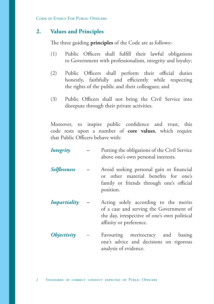Code of Ethics For Public Officers

#### **2. Values and Principles**

The three guiding **principles** of the Code are as follows:-

- (1) Public Officers shall fulfill their lawful obligations to Government with professionalism, integrity and loyalty;
- (2) Public Officers shall perform their official duties honestly, faithfully and efficiently while respecting the rights of the public and their colleagues; and
- (3) Public Officers shall not bring the Civil Service into disrepute through their private activities.

Moreover, to inspire public confidence and trust, this code rests upon a number of **core values**, which require that Public Officers behave with:

*Integrity –* Putting the obligations of the Civil Service above one's own personal interests. *Selflessness –* Avoid seeking personal gain or financial or other material benefits for one's family or friends through one's official position. *Impartiality –* Acting solely according to the merits of a case and serving the Government of the day, irrespective of one's own political affinity or preference. *Objectivity* – Favouring meritocracy and basing one's advice and decisions on rigorous

analysis of evidence.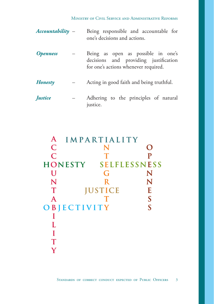#### Ministry of Civil Service and Administrative Reforms

- *Accountability* Being responsible and accountable for one's decisions and actions.
- *Openness* Being as open as possible in one's decisions and providing justification for one's actions whenever required.
- *Honesty* Acting in good faith and being truthful.

```
Justice – Adhering to the principles of natural
     justice.
```
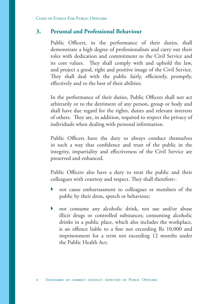#### **3. Personal and Professional Behaviour**

Public Officers, in the performance of their duties, shall demonstrate a high degree of professionalism and carry out their roles with dedication and commitment to the Civil Service and its core values. They shall comply with and uphold the law, and project a good, right and positive image of the Civil Service. They shall deal with the public fairly, efficiently, promptly, effectively and to the best of their abilities.

In the performance of their duties, Public Officers shall not act arbitrarily or to the detriment of any person, group or body and shall have due regard for the rights, duties and relevant interests of others. They are, in addition, required to respect the privacy of individuals when dealing with personal information.

Public Officers have the duty to always conduct themselves in such a way that confidence and trust of the public in the integrity, impartiality and effectiveness of the Civil Service are preserved and enhanced.

Public Officers also have a duty to treat the public and their colleagues with courtesy and respect. They shall therefore:-

- not cause embarrassment to colleagues or members of the public by their dress, speech or behaviour;
- not consume any alcoholic drink, not use and/or abuse illicit drugs or controlled substances; consuming alcoholic drinks in a public place, which also includes the workplace, is an offence liable to a fine not exceeding Rs 10,000 and imprisonment for a term not exceeding 12 months under the Public Health Act;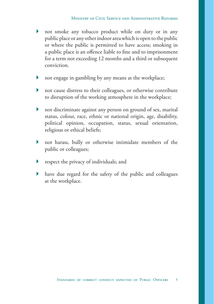- not smoke any tobacco product while on duty or in any public place or any other indoor area which is open to the public or where the public is permitted to have access; smoking in a public place is an offence liable to fine and to imprisonment for a term not exceeding 12 months and a third or subsequent conviction.
- not engage in gambling by any means at the workplace;
- not cause distress to their colleagues, or otherwise contribute to disruption of the working atmosphere in the workplace;
- not discriminate against any person on ground of sex, marital status, colour, race, ethnic or national origin, age, disability, political opinion, occupation, status, sexual orientation, religious or ethical beliefs;
- not harass, bully or otherwise intimidate members of the public or colleagues;
- respect the privacy of individuals; and
- have due regard for the safety of the public and colleagues at the workplace.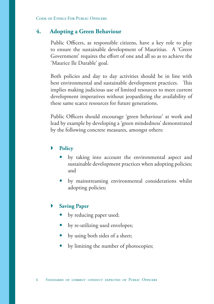#### **4. Adopting a Green Behaviour**

Public Officers, as responsible citizens, have a key role to play to ensure the sustainable development of Mauritius. A 'Green Government' requires the effort of one and all so as to achieve the 'Maurice Ile Durable' goal.

Both policies and day to day activities should be in line with best environmental and sustainable development practices. This implies making judicious use of limited resources to meet current development imperatives without jeopardizing the availability of these same scarce resources for future generations.

Public Officers should encourage 'green behaviour' at work and lead by example by developing a 'green mindedness' demonstrated by the following concrete measures, amongst others:

#### **Policy**

- by taking into account the environmental aspect and sustainable development practices when adopting policies; and
- by mainstreaming environmental considerations whilst adopting policies;

#### **Saving Paper**

- by reducing paper used;
- by re-utilizing used envelopes;
- by using both sides of a sheet;
- by limiting the number of photocopies;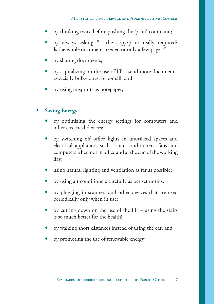- by thinking twice before pushing the 'print' command;
- by always asking "is the copy/print really required? Is the whole document needed or only a few pages?";
- by sharing documents;
- by capitalizing on the use of IT send more documents, especially bulky ones, by e-mail; and
- by using misprints as notepaper;

#### **Saving Energy**

- by optimizing the energy settings for computers and other electrical devices;
- by switching off office lights in unutilized spaces and electrical appliances such as air conditioners, fans and computers when not in office and at the end of the working day;
- using natural lighting and ventilation as far as possible;
- by using air conditioners carefully as per set norms;
- by plugging in scanners and other devices that are used periodically only when in use;
- by cutting down on the use of the lift using the stairs is so much better for the health!
- by walking short distances instead of using the car; and
- by promoting the use of renewable energy;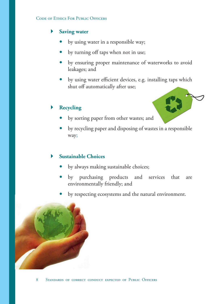#### Code of Ethics For Public Officers

#### **Saving water**

- by using water in a responsible way;
- by turning off taps when not in use;
- by ensuring proper maintenance of waterworks to avoid leakages; and
- by using water efficient devices, e.g. installing taps which shut off automatically after use;

#### **Recycling**

- by sorting paper from other wastes; and
- by recycling paper and disposing of wastes in a responsible way;

#### **Sustainable Choices**

- by always making sustainable choices;
- by purchasing products and services that are environmentally friendly; and
- by respecting ecosystems and the natural environment.

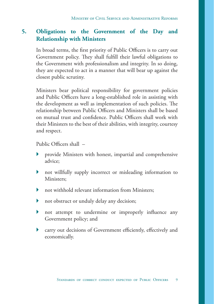#### **5. Obligations to the Government of the Day and Relationship with Ministers**

In broad terms, the first priority of Public Officers is to carry out Government policy. They shall fulfill their lawful obligations to the Government with professionalism and integrity. In so doing, they are expected to act in a manner that will bear up against the closest public scrutiny.

Ministers bear political responsibility for government policies and Public Officers have a long-established role in assisting with the development as well as implementation of such policies. The relationship between Public Officers and Ministers shall be based on mutual trust and confidence. Public Officers shall work with their Ministers to the best of their abilities, with integrity, courtesy and respect.

Public Officers shall –

- provide Ministers with honest, impartial and comprehensive advice;
- not willfully supply incorrect or misleading information to Ministers;
- not withhold relevant information from Ministers;
- not obstruct or unduly delay any decision;
- not attempt to undermine or improperly influence any Government policy; and
- carry out decisions of Government efficiently, effectively and economically.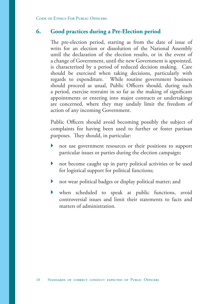#### **6. Good practices during a Pre-Election period**

The pre-election period, starting as from the date of issue of writs for an election or dissolution of the National Assembly until the declaration of the election results, or in the event of a change of Government, until the new Government is appointed, is characterized by a period of reduced decision making. Care should be exercised when taking decisions, particularly with regards to expenditure. While routine government business should proceed as usual, Public Officers should, during such a period, exercise restraint in so far as the making of significant appointments or entering into major contracts or undertakings are concerned, where they may unduly limit the freedom of action of any incoming Government.

Public Officers should avoid becoming possibly the subject of complaints for having been used to further or foster partisan purposes. They should, in particular:

- not use government resources or their positions to support particular issues or parties during the election campaign;
- not become caught up in party political activities or be used for logistical support for political functions;
- not wear political badges or display political matter; and
- when scheduled to speak at public functions, avoid controversial issues and limit their statements to facts and matters of administration.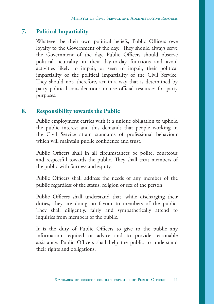#### **7. Political Impartiality**

Whatever be their own political beliefs, Public Officers owe loyalty to the Government of the day. They should always serve the Government of the day. Public Officers should observe political neutrality in their day-to-day functions and avoid activities likely to impair, or seen to impair, their political impartiality or the political impartiality of the Civil Service. They should not, therefore, act in a way that is determined by party political considerations or use official resources for party purposes.

#### **8. Responsibility towards the Public**

Public employment carries with it a unique obligation to uphold the public interest and this demands that people working in the Civil Service attain standards of professional behaviour which will maintain public confidence and trust.

Public Officers shall in all circumstances be polite, courteous and respectful towards the public. They shall treat members of the public with fairness and equity.

Public Officers shall address the needs of any member of the public regardless of the status, religion or sex of the person.

Public Officers shall understand that, while discharging their duties, they are doing no favour to members of the public. They shall diligently, fairly and sympathetically attend to inquiries from members of the public.

It is the duty of Public Officers to give to the public any information required or advice and to provide reasonable assistance. Public Officers shall help the public to understand their rights and obligations.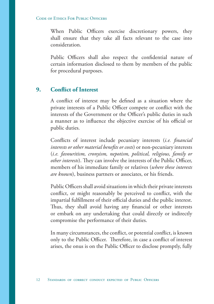#### Code of Ethics For Public Officers

When Public Officers exercise discretionary powers, they shall ensure that they take all facts relevant to the case into consideration.

Public Officers shall also respect the confidential nature of certain information disclosed to them by members of the public for procedural purposes.

#### **9. Conflict of Interest**

A conflict of interest may be defined as a situation where the private interests of a Public Officer compete or conflict with the interests of the Government or the Officer's public duties in such a manner as to influence the objective exercise of his official or public duties.

Conflicts of interest include pecuniary interests (*i.e. financial interests or other material benefits or costs*) or non-pecuniary interests (*i.e. favouritism, cronyism, nepotism, political, religious, family or other interests*). They can involve the interests of the Public Officer, members of his immediate family or relatives (*where these interests are known*), business partners or associates, or his friends.

Public Officers shall avoid situations in which their private interests conflict, or might reasonably be perceived to conflict, with the impartial fulfillment of their official duties and the public interest. Thus, they shall avoid having any financial or other interests or embark on any undertaking that could directly or indirectly compromise the performance of their duties.

In many circumstances, the conflict, or potential conflict, is known only to the Public Officer. Therefore, in case a conflict of interest arises, the onus is on the Public Officer to disclose promptly, fully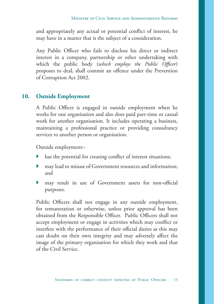and appropriately any actual or potential conflict of interest, he may have in a matter that is the subject of a consideration.

Any Public Officer who fails to disclose his direct or indirect interest in a company, partnership or other undertaking with which the public body (*which employs the Public Officer*) proposes to deal, shall commit an offence under the Prevention of Corruption Act 2002.

#### **10. Outside Employment**

A Public Officer is engaged in outside employment when he works for one organisation and also does paid part-time or casual work for another organisation. It includes operating a business, maintaining a professional practice or providing consultancy services to another person or organisation.

Outside employment:-

- has the potential for creating conflict of interest situations;
- may lead to misuse of Government resources and information; and
- may result in use of Government assets for non-official purposes.

Public Officers shall not engage in any outside employment, for remuneration or otherwise, unless prior approval has been obtained from the Responsible Officer. Public Officers shall not accept employment or engage in activities which may conflict or interfere with the performance of their official duties as this may cast doubt on their own integrity and may adversely affect the image of the primary organisation for which they work and that of the Civil Service.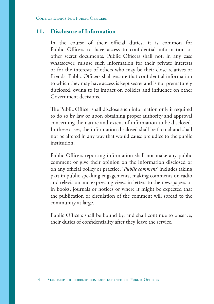#### **11. Disclosure of Information**

In the course of their official duties, it is common for Public Officers to have access to confidential information or other secret documents. Public Officers shall not, in any case whatsoever, misuse such information for their private interests or for the interests of others who may be their close relatives or friends. Public Officers shall ensure that confidential information to which they may have access is kept secret and is not prematurely disclosed, owing to its impact on policies and influence on other Government decisions.

The Public Officer shall disclose such information only if required to do so by law or upon obtaining proper authority and approval concerning the nature and extent of information to be disclosed. In these cases, the information disclosed shall be factual and shall not be altered in any way that would cause prejudice to the public institution.

Public Officers reporting information shall not make any public comment or give their opinion on the information disclosed or on any official policy or practice. '*Public comment*' includes taking part in public speaking engagements, making comments on radio and television and expressing views in letters to the newspapers or in books, journals or notices or where it might be expected that the publication or circulation of the comment will spread to the community at large.

Public Officers shall be bound by, and shall continue to observe, their duties of confidentiality after they leave the service.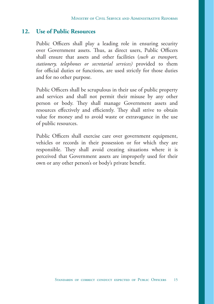#### **12. Use of Public Resources**

Public Officers shall play a leading role in ensuring security over Government assets. Thus, as direct users, Public Officers shall ensure that assets and other facilities (*such as transport, stationery, telephones or secretarial services)* provided to them for official duties or functions, are used strictly for those duties and for no other purpose.

Public Officers shall be scrupulous in their use of public property and services and shall not permit their misuse by any other person or body. They shall manage Government assets and resources effectively and efficiently. They shall strive to obtain value for money and to avoid waste or extravagance in the use of public resources.

Public Officers shall exercise care over government equipment, vehicles or records in their possession or for which they are responsible. They shall avoid creating situations where it is perceived that Government assets are improperly used for their own or any other person's or body's private benefit.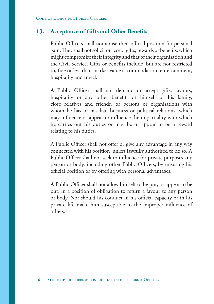#### **13. Acceptance of Gifts and Other Benefits**

Public Officers shall not abuse their official position for personal gain. They shall not solicit or accept gifts, rewards or benefits, which might compromise their integrity and that of their organisation and the Civil Service. Gifts or benefits include, but are not restricted to, free or less than market value accommodation, entertainment, hospitality and travel.

A Public Officer shall not demand or accept gifts, favours, hospitality or any other benefit for himself or his family, close relatives and friends, or persons or organisations with whom he has or has had business or political relations, which may influence or appear to influence the impartiality with which he carries out his duties or may be or appear to be a reward relating to his duties.

A Public Officer shall not offer or give any advantage in any way connected with his position, unless lawfully authorised to do so. A Public Officer shall not seek to influence for private purposes any person or body, including other Public Officers, by misusing his official position or by offering with personal advantages.

A Public Officer shall not allow himself to be put, or appear to be put, in a position of obligation to return a favour to any person or body. Nor should his conduct in his official capacity or in his private life make him susceptible to the improper influence of others.